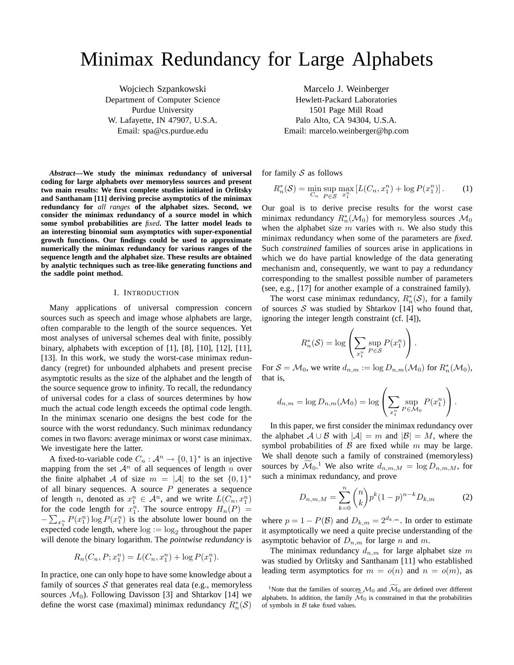# Minimax Redundancy for Large Alphabets

Wojciech Szpankowski Department of Computer Science Purdue University W. Lafayette, IN 47907, U.S.A. Email: spa@cs.purdue.edu

*Abstract***—We study the minimax redundancy of universal coding for large alphabets over memoryless sources and present two main results: We first complete studies initiated in Orlitsky and Santhanam [11] deriving precise asymptotics of the minimax redundancy for** *all ranges* **of the alphabet sizes. Second, we consider the minimax redundancy of a source model in which some symbol probabilities are** *fixed***. The latter model leads to an interesting binomial sum asymptotics with super-exponential growth functions. Our findings could be used to approximate numerically the minimax redundancy for various ranges of the sequence length and the alphabet size. These results are obtained by analytic techniques such as tree-like generating functions and the saddle point method.**

## I. INTRODUCTION

Many applications of universal compression concern sources such as speech and image whose alphabets are large, often comparable to the length of the source sequences. Yet most analyses of universal schemes deal with finite, possibly binary, alphabets with exception of [1], [8], [10], [12], [11], [13]. In this work, we study the worst-case minimax redundancy (regret) for unbounded alphabets and present precise asymptotic results as the size of the alphabet and the length of the source sequence grow to infinity. To recall, the redundancy of universal codes for a class of sources determines by how much the actual code length exceeds the optimal code length. In the minimax scenario one designs the best code for the source with the worst redundancy. Such minimax redundancy comes in two flavors: average minimax or worst case minimax. We investigate here the latter.

A fixed-to-variable code  $C_n : \mathcal{A}^n \to \{0,1\}^*$  is an injective mapping from the set  $A^n$  of all sequences of length n over the finite alphabet A of size  $m = |\mathcal{A}|$  to the set  $\{0, 1\}^*$ of all binary sequences. A source  $P$  generates a sequence of length *n*, denoted as  $x_1^n \in A^n$ , and we write  $L(C_n, x_1^n)$ for the code length for  $x_1^n$ . The source entropy  $H_n(P) =$  $-\sum_{x_1^n} P(x_1^n) \log P(x_1^n)$  is the absolute lower bound on the expected code length, where  $log := log_2$  throughout the paper will denote the binary logarithm. The *pointwise redundancy* is

$$
R_n(C_n, P; x_1^n) = L(C_n, x_1^n) + \log P(x_1^n).
$$

In practice, one can only hope to have some knowledge about a family of sources  $S$  that generates real data (e.g., memoryless sources  $\mathcal{M}_0$ ). Following Davisson [3] and Shtarkov [14] we define the worst case (maximal) minimax redundancy  $R_n^*(\mathcal{S})$ 

Marcelo J. Weinberger Hewlett-Packard Laboratories 1501 Page Mill Road Palo Alto, CA 94304, U.S.A. Email: marcelo.weinberger@hp.com

for family  $S$  as follows

$$
R_n^*(\mathcal{S}) = \min_{C_n} \sup_{P \in \mathcal{S}} \max_{x_1^n} [L(C_n, x_1^n) + \log P(x_1^n)]. \tag{1}
$$

Our goal is to derive precise results for the worst case minimax redundancy  $R_n^*(\mathcal{M}_0)$  for memoryless sources  $\mathcal{M}_0$ when the alphabet size  $m$  varies with  $n$ . We also study this minimax redundancy when some of the parameters are *fixed*. Such *constrained* families of sources arise in applications in which we do have partial knowledge of the data generating mechanism and, consequently, we want to pay a redundancy corresponding to the smallest possible number of parameters (see, e.g., [17] for another example of a constrained family).

The worst case minimax redundancy,  $R_n^*(\mathcal{S})$ , for a family of sources  $S$  was studied by Shtarkov [14] who found that, ignoring the integer length constraint (cf. [4]),

$$
R_n^*(\mathcal{S}) = \log \left( \sum_{x_1^n} \sup_{P \in \mathcal{S}} P(x_1^n) \right).
$$

For  $S = M_0$ , we write  $d_{n,m} := \log D_{n,m}(\mathcal{M}_0)$  for  $R_n^*(\mathcal{M}_0)$ , that is,

$$
d_{n,m} = \log D_{n,m}(\mathcal{M}_0) = \log \left( \sum_{x_1^n} \sup_{P \in \mathcal{M}_0} P(x_1^n) \right).
$$

In this paper, we first consider the minimax redundancy over the alphabet  $A \cup B$  with  $|A| = m$  and  $|B| = M$ , where the symbol probabilities of  $\beta$  are fixed while m may be large. We shall denote such a family of constrained (memoryless) sources by  $\mathcal{M}_0$ .<sup>1</sup> We also write  $d_{n,m,M} = \log D_{n,m,M}$ , for such a minimax redundancy, and prove

$$
D_{n,m,M} = \sum_{k=0}^{n} \binom{n}{k} p^k (1-p)^{n-k} D_{k,m} \tag{2}
$$

where  $p = 1 - P(\mathcal{B})$  and  $D_{k,m} = 2^{d_{k,m}}$ . In order to estimate it asymptotically we need a quite precise understanding of the asymptotic behavior of  $D_{n,m}$  for large n and m.

The minimax redundancy  $d_{n,m}$  for large alphabet size m was studied by Orlitsky and Santhanam [11] who established leading term asymptotics for  $m = o(n)$  and  $n = o(m)$ , as

<sup>&</sup>lt;sup>1</sup>Note that the families of sources  $\mathcal{M}_0$  and  $\mathcal{M}_0$  are defined over different alphabets. In addition, the family  $\mathcal{M}_0$  is constrained in that the probabilities of symbols in  $B$  take fixed values.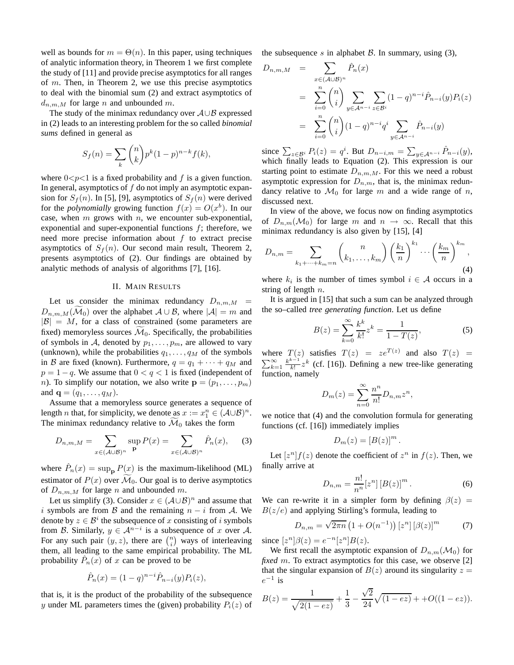well as bounds for  $m = \Theta(n)$ . In this paper, using techniques of analytic information theory, in Theorem 1 we first complete the study of [11] and provide precise asymptotics for all ranges of m. Then, in Theorem 2, we use this precise asymptotics to deal with the binomial sum (2) and extract asymptotics of  $d_{n,m,M}$  for large n and unbounded m.

The study of the minimax redundancy over  $A \cup B$  expressed in (2) leads to an interesting problem for the so called *binomial sums* defined in general as

$$
S_f(n) = \sum_k {n \choose k} p^k (1-p)^{n-k} f(k),
$$

where  $0 < p < 1$  is a fixed probability and f is a given function. In general, asymptotics of  $f$  do not imply an asymptotic expansion for  $S_f(n)$ . In [5], [9], asymptotics of  $S_f(n)$  were derived for the *polynomially* growing function  $f(x) = O(x^b)$ . In our case, when  $m$  grows with  $n$ , we encounter sub-exponential, exponential and super-exponential functions  $f$ ; therefore, we need more precise information about  $f$  to extract precise asymptotics of  $S_f(n)$ . Our second main result, Theorem 2, presents asymptotics of (2). Our findings are obtained by analytic methods of analysis of algorithms [7], [16].

# II. MAIN RESULTS

Let us consider the minimax redundancy  $D_{n,m,M}$  =  $D_{n,m,M}(\mathcal{M}_0)$  over the alphabet  $\mathcal{A} \cup \mathcal{B}$ , where  $|\mathcal{A}| = m$  and  $|\mathcal{B}| = M$ , for a class of constrained (some parameters are fixed) memoryless sources  $\mathcal{M}_0$ . Specifically, the probabilities of symbols in A, denoted by  $p_1, \ldots, p_m$ , are allowed to vary (unknown), while the probabilities  $q_1, \ldots, q_M$  of the symbols in B are fixed (known). Furthermore,  $q = q_1 + \cdots + q_M$  and  $p = 1 - q$ . We assume that  $0 < q < 1$  is fixed (independent of *n*). To simplify our notation, we also write  $\mathbf{p} = (p_1, \ldots, p_m)$ and  ${\bf q} = (q_1, \ldots, q_M)$ .

Assume that a memoryless source generates a sequence of length *n* that, for simplicity, we denote as  $x := x_1^n \in (A \cup B)^n$ . The minimax redundancy relative to  $\mathcal{M}_0$  takes the form

$$
D_{n,m,M} = \sum_{x \in (\mathcal{A} \cup \mathcal{B})^n} \sup_{\mathbf{P}} P(x) = \sum_{x \in (\mathcal{A} \cup \mathcal{B})^n} \hat{P}_n(x), \quad (3)
$$

where  $\hat{P}_n(x) = \sup_{\mathbf{p}} P(x)$  is the maximum-likelihood (ML) estimator of  $P(x)$  over  $\mathcal{M}_0$ . Our goal is to derive asymptotics of  $D_{n,m,M}$  for large n and unbounded m.

Let us simplify (3). Consider  $x \in (\mathcal{A} \cup \mathcal{B})^n$  and assume that i symbols are from B and the remaining  $n - i$  from A. We denote by  $z \in \mathcal{B}^i$  the subsequence of x consisting of i symbols from B. Similarly,  $y \in A^{n-i}$  is a subsequence of x over A. For any such pair  $(y, z)$ , there are  $\binom{n}{i}$  ways of interleaving them, all leading to the same empirical probability. The ML probability  $\hat{P}_n(x)$  of x can be proved to be

$$
\hat{P}_n(x) = (1 - q)^{n - i} \hat{P}_{n - i}(y) P_i(z),
$$

that is, it is the product of the probability of the subsequence y under ML parameters times the (given) probability  $P_i(z)$  of the subsequence s in alphabet  $\beta$ . In summary, using (3),

$$
D_{n,m,M} = \sum_{x \in (A \cup B)^n} \hat{P}_n(x)
$$
  
= 
$$
\sum_{i=0}^n {n \choose i} \sum_{y \in A^{n-i}} \sum_{z \in B^i} (1-q)^{n-i} \hat{P}_{n-i}(y) P_i(z)
$$
  
= 
$$
\sum_{i=0}^n {n \choose i} (1-q)^{n-i} q^i \sum_{y \in A^{n-i}} \hat{P}_{n-i}(y)
$$

since  $\sum_{z \in \mathcal{B}^i} P_i(z) = q^i$ . But  $D_{n-i,m} = \sum_{y \in \mathcal{A}^{n-i}} \hat{P}_{n-i}(y)$ , which finally leads to Equation (2). This expression is our starting point to estimate  $D_{n,m,M}$ . For this we need a robust asymptotic expression for  $D_{n,m}$ , that is, the minimax redundancy relative to  $\mathcal{M}_0$  for large m and a wide range of n, discussed next.

In view of the above, we focus now on finding asymptotics of  $D_{n,m}(\mathcal{M}_0)$  for large m and  $n \to \infty$ . Recall that this minimax redundancy is also given by [15], [4]

$$
D_{n,m} = \sum_{k_1 + \dots + k_m = n} {n \choose k_1, \dots, k_m} \left(\frac{k_1}{n}\right)^{k_1} \cdots \left(\frac{k_m}{n}\right)^{k_m},
$$
\n(4)

where  $k_i$  is the number of times symbol  $i \in A$  occurs in a string of length  $n$ .

It is argued in [15] that such a sum can be analyzed through the so–called *tree generating function*. Let us define

$$
B(z) = \sum_{k=0}^{\infty} \frac{k^k}{k!} z^k = \frac{1}{1 - T(z)},
$$
 (5)

where  $T(z)$  satisfies  $T(z) = ze^{T(z)}$  and also  $T(z) =$  $\sum_{k=1}^{\infty} \frac{k^{k-1}}{k!}$  $\frac{k-1}{k!}z^k$  (cf. [16]). Defining a new tree-like generating function, namely

$$
D_m(z) = \sum_{n=0}^{\infty} \frac{n^n}{n!} D_{n,m} z^n,
$$

we notice that (4) and the convolution formula for generating functions (cf. [16]) immediately implies

$$
D_m(z) = [B(z)]^m.
$$

Let  $[z^n]f(z)$  denote the coefficient of  $z^n$  in  $f(z)$ . Then, we finally arrive at

$$
D_{n,m} = \frac{n!}{n^n} [z^n] [B(z)]^m.
$$
 (6)

We can re-write it in a simpler form by defining  $\beta(z)$  =  $B(z/e)$  and applying Stirling's formula, leading to

$$
D_{n,m} = \sqrt{2\pi n} \left( 1 + O(n^{-1}) \right) \left[ z^n \right] \left[ \beta(z) \right]^m \tag{7}
$$

since  $[z^n]\beta(z) = e^{-n}[z^n]B(z)$ .

We first recall the asymptotic expansion of  $D_{n,m}(\mathcal{M}_0)$  for *fixed* m. To extract asymptotics for this case, we observe [2] that the singular expansion of  $B(z)$  around its singularity  $z =$  $e^{-1}$  is

$$
B(z) = \frac{1}{\sqrt{2(1 - ez)}} + \frac{1}{3} - \frac{\sqrt{2}}{24}\sqrt{(1 - ez)} + +O((1 - ez)).
$$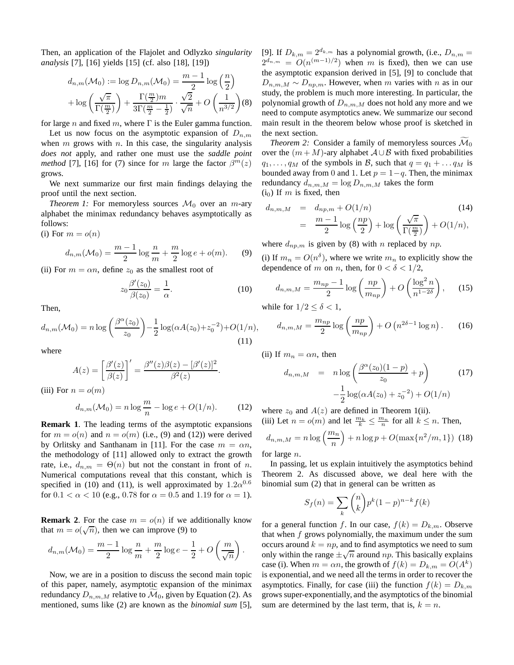Then, an application of the Flajolet and Odlyzko *singularity analysis* [7], [16] yields [15] (cf. also [18], [19])

$$
d_{n,m}(\mathcal{M}_0) := \log D_{n,m}(\mathcal{M}_0) = \frac{m-1}{2} \log\left(\frac{n}{2}\right)
$$

$$
+ \log\left(\frac{\sqrt{\pi}}{\Gamma(\frac{m}{2})}\right) + \frac{\Gamma(\frac{m}{2})m}{3\Gamma(\frac{m}{2}-\frac{1}{2})} \cdot \frac{\sqrt{2}}{\sqrt{n}} + O\left(\frac{1}{n^{3/2}}\right)(8)
$$

for large n and fixed m, where  $\Gamma$  is the Euler gamma function.

Let us now focus on the asymptotic expansion of  $D_{n,m}$ when  $m$  grows with  $n$ . In this case, the singularity analysis *does not* apply, and rather one must use the *saddle point method* [7], [16] for (7) since for m large the factor  $\beta^{m}(z)$ grows.

We next summarize our first main findings delaying the proof until the next section.

*Theorem 1:* For memoryless sources  $\mathcal{M}_0$  over an *m*-ary alphabet the minimax redundancy behaves asymptotically as follows:

(i) For  $m = o(n)$ 

$$
d_{n,m}(\mathcal{M}_0) = \frac{m-1}{2} \log \frac{n}{m} + \frac{m}{2} \log e + o(m). \tag{9}
$$

(ii) For  $m = \alpha n$ , define  $z_0$  as the smallest root of

$$
z_0 \frac{\beta'(z_0)}{\beta(z_0)} = \frac{1}{\alpha}.\tag{10}
$$

Then,

$$
d_{n,m}(\mathcal{M}_0) = n \log \left( \frac{\beta^{\alpha}(z_0)}{z_0} \right) - \frac{1}{2} \log(\alpha A(z_0) + z_0^{-2}) + O(1/n),\tag{11}
$$

where

$$
A(z) = \left[\frac{\beta'(z)}{\beta(z)}\right]' = \frac{\beta''(z)\beta(z) - [\beta'(z)]^2}{\beta^2(z)}.
$$

(iii) For  $n = o(m)$ 

$$
d_{n,m}(\mathcal{M}_0) = n \log \frac{m}{n} - \log e + O(1/n). \tag{12}
$$

**Remark 1**. The leading terms of the asymptotic expansions for  $m = o(n)$  and  $n = o(m)$  (i.e., (9) and (12)) were derived by Orlitsky and Santhanam in [11]. For the case  $m = \alpha n$ , the methodology of [11] allowed only to extract the growth rate, i.e.,  $d_{n,m} = \Theta(n)$  but not the constant in front of n. Numerical computations reveal that this constant, which is specified in (10) and (11), is well approximated by  $1.2\alpha^{0.6}$ for  $0.1 < \alpha < 10$  (e.g., 0.78 for  $\alpha = 0.5$  and 1.19 for  $\alpha = 1$ ).

**Remark 2.** For the case  $m = o(n)$  if we additionally know that  $m = o(\sqrt{n})$ , then we can improve (9) to

$$
d_{n,m}(\mathcal{M}_0) = \frac{m-1}{2}\log\frac{n}{m} + \frac{m}{2}\log e - \frac{1}{2} + O\left(\frac{m}{\sqrt{n}}\right).
$$

Now, we are in a position to discuss the second main topic of this paper, namely, asymptotic expansion of the minimax redundancy  $D_{n,m,M}$  relative to  $\mathcal{M}_0$ , given by Equation (2). As mentioned, sums like (2) are known as the *binomial sum* [5], [9]. If  $D_{k,m} = 2^{d_{k,m}}$  has a polynomial growth, (i.e.,  $D_{n,m} =$  $2^{d_{n,m}} = O(n^{(m-1)/2})$  when m is fixed), then we can use the asymptotic expansion derived in [5], [9] to conclude that  $D_{n,m,M} \sim D_{np,m}$ . However, when m varies with n as in our study, the problem is much more interesting. In particular, the polynomial growth of  $D_{n,m,M}$  does not hold any more and we need to compute asymptotics anew. We summarize our second main result in the theorem below whose proof is sketched in the next section.

*Theorem 2:* Consider a family of memoryless sources  $\mathcal{M}_0$ over the  $(m + M)$ -ary alphabet  $A \cup B$  with fixed probabilities  $q_1, \ldots, q_M$  of the symbols in B, such that  $q = q_1 + \ldots q_M$  is bounded away from 0 and 1. Let  $p = 1-q$ . Then, the minimax redundancy  $d_{n,m,M} = \log D_{n,m,M}$  takes the form  $(i<sub>0</sub>)$  If m is fixed, then

$$
d_{n,m,M} = d_{np,m} + O(1/n)
$$
\n
$$
= \frac{m-1}{2} \log\left(\frac{np}{2}\right) + \log\left(\frac{\sqrt{\pi}}{\Gamma(\frac{m}{2})}\right) + O(1/n),
$$
\n(14)

where  $d_{np,m}$  is given by (8) with n replaced by np.

(i) If  $m_n = O(n^{\delta})$ , where we write  $m_n$  to explicitly show the dependence of m on n, then, for  $0 < \delta < 1/2$ ,

$$
d_{n,m,M} = \frac{m_{np} - 1}{2} \log \left( \frac{np}{m_{np}} \right) + O\left( \frac{\log^2 n}{n^{1 - 2\delta}} \right), \quad (15)
$$

while for  $1/2 \leq \delta < 1$ ,

$$
d_{n,m,M} = \frac{m_{np}}{2} \log \left( \frac{np}{m_{np}} \right) + O\left( n^{2\delta - 1} \log n \right). \tag{16}
$$

(ii) If  $m_n = \alpha n$ , then

$$
d_{n,m,M} = n \log \left( \frac{\beta^{\alpha}(z_0)(1-p)}{z_0} + p \right) \tag{17}
$$

$$
-\frac{1}{2} \log(\alpha A(z_0) + z_0^{-2}) + O(1/n)
$$

where  $z_0$  and  $A(z)$  are defined in Theorem 1(ii). (iii) Let  $n = o(m)$  and let  $\frac{m_k}{k} \leq \frac{m_n}{n}$  for all  $k \leq n$ . Then,

$$
d_{n,m,M} = n \log \left(\frac{m_n}{n}\right) + n \log p + O(\max\{n^2/m, 1\})
$$
 (18)

for large n.

In passing, let us explain intuitively the asymptotics behind Theorem 2. As discussed above, we deal here with the binomial sum (2) that in general can be written as

$$
S_f(n) = \sum_{k} \binom{n}{k} p^k (1-p)^{n-k} f(k)
$$

for a general function f. In our case,  $f(k) = D_{k,m}$ . Observe that when  $f$  grows polynomially, the maximum under the sum occurs around  $k = np$ , and to find asymptotics we need to sum only within the range  $\pm \sqrt{n}$  around np. This basically explains case (i). When  $m = \alpha n$ , the growth of  $f(k) = D_{k,m} = O(A^k)$ is exponential, and we need all the terms in order to recover the asymptotics. Finally, for case (iii) the function  $f(k) = D_{k,m}$ grows super-exponentially, and the asymptotics of the binomial sum are determined by the last term, that is,  $k = n$ .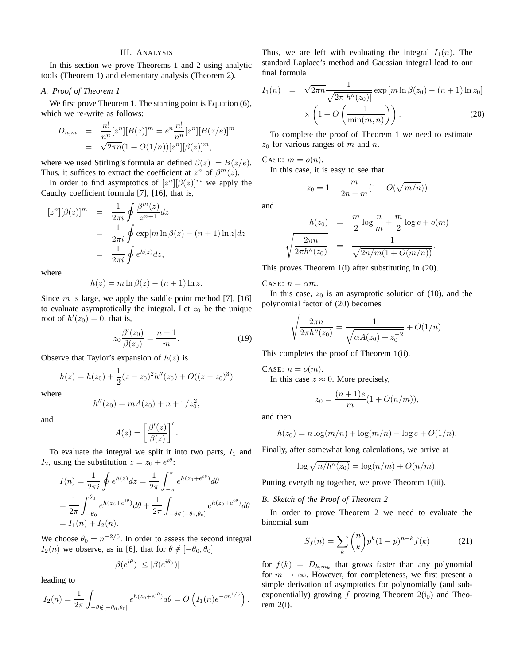### III. ANALYSIS

In this section we prove Theorems 1 and 2 using analytic tools (Theorem 1) and elementary analysis (Theorem 2).

# *A. Proof of Theorem 1*

We first prove Theorem 1. The starting point is Equation  $(6)$ , which we re-write as follows:

$$
D_{n,m} = \frac{n!}{n^n} [z^n][B(z)]^m = e^n \frac{n!}{n^n} [z^n][B(z/e)]^m
$$
  
=  $\sqrt{2\pi n} (1 + O(1/n))[z^n][\beta(z)]^m$ ,

where we used Stirling's formula an defined  $\beta(z) := B(z/e)$ . Thus, it suffices to extract the coefficient at  $z^n$  of  $\beta^m(z)$ .

In order to find asymptotics of  $[z^n][\beta(z)]^m$  we apply the Cauchy coefficient formula [7], [16], that is,

$$
[zn][\beta(z)]m = \frac{1}{2\pi i} \oint \frac{\beta^{m}(z)}{z^{n+1}} dz
$$
  
= 
$$
\frac{1}{2\pi i} \oint \exp[m \ln \beta(z) - (n+1) \ln z] dz
$$
  
= 
$$
\frac{1}{2\pi i} \oint e^{h(z)} dz,
$$

where

$$
h(z) = m \ln \beta(z) - (n+1) \ln z.
$$

Since  $m$  is large, we apply the saddle point method [7], [16] to evaluate asymptotically the integral. Let  $z_0$  be the unique root of  $h'(z_0) = 0$ , that is,

$$
z_0 \frac{\beta'(z_0)}{\beta(z_0)} = \frac{n+1}{m}.
$$
 (19)

,

Observe that Taylor's expansion of  $h(z)$  is

$$
h(z) = h(z0) + \frac{1}{2}(z - z0)2h''(z0) + O((z - z0)3)
$$

where

$$
h''(z_0) = mA(z_0) + n + 1/z_0^2
$$

and

$$
A(z) = \left[\frac{\beta'(z)}{\beta(z)}\right]'.
$$

To evaluate the integral we split it into two parts,  $I_1$  and  $I_2$ , using the substitution  $z = z_0 + e^{i\theta}$ :

$$
I(n) = \frac{1}{2\pi i} \oint e^{h(z)} dz = \frac{1}{2\pi} \int_{-\pi}^{\pi} e^{h(z_0 + e^{i\theta})} d\theta
$$
  
=  $\frac{1}{2\pi} \int_{-\theta_0}^{\theta_0} e^{h(z_0 + e^{i\theta})} d\theta + \frac{1}{2\pi} \int_{-\theta \notin [-\theta_0, \theta_0]} e^{h(z_0 + e^{i\theta})} d\theta$   
=  $I_1(n) + I_2(n)$ .

We choose  $\theta_0 = n^{-2/5}$ . In order to assess the second integral  $I_2(n)$  we observe, as in [6], that for  $\theta \notin [-\theta_0, \theta_0]$ 

$$
|\beta(e^{i\theta})| \le |\beta(e^{i\theta_0})|
$$

leading to

$$
I_2(n) = \frac{1}{2\pi} \int_{-\theta \notin [-\theta_0, \theta_0]} e^{h(z_0 + e^{i\theta})} d\theta = O\left(I_1(n) e^{-cn^{1/5}}\right).
$$

Thus, we are left with evaluating the integral  $I_1(n)$ . The standard Laplace's method and Gaussian integral lead to our final formula

$$
I_1(n) = \sqrt{2\pi n} \frac{1}{\sqrt{2\pi |h''(z_0)|}} \exp\left[m \ln \beta(z_0) - (n+1) \ln z_0\right]
$$

$$
\times \left(1 + O\left(\frac{1}{\min(m, n)}\right)\right). \tag{20}
$$

To complete the proof of Theorem 1 we need to estimate  $z_0$  for various ranges of m and n.

CASE:  $m = o(n)$ .

In this case, it is easy to see that

$$
z_0 = 1 - \frac{m}{2n + m} (1 - O(\sqrt{m/n}))
$$

and

$$
h(z_0) = \frac{m}{2} \log \frac{n}{m} + \frac{m}{2} \log e + o(m)
$$

$$
\sqrt{\frac{2\pi n}{2\pi h''(z_0)}} = \frac{1}{\sqrt{2n/m(1 + O(m/n))}}.
$$

This proves Theorem 1(i) after substituting in (20).

CASE:  $n = \alpha m$ .

In this case,  $z_0$  is an asymptotic solution of (10), and the polynomial factor of (20) becomes

$$
\sqrt{\frac{2\pi n}{2\pi h''(z_0)}} = \frac{1}{\sqrt{\alpha A(z_0) + z_0^{-2}}} + O(1/n).
$$

This completes the proof of Theorem 1(ii).

CASE:  $n = o(m)$ .

In this case  $z \approx 0$ . More precisely,

$$
z_0 = \frac{(n+1)e}{m}(1 + O(n/m)),
$$

and then

$$
h(z_0) = n \log(m/n) + \log(m/n) - \log e + O(1/n).
$$

Finally, after somewhat long calculations, we arrive at

$$
\log \sqrt{n/h''(z_0)} = \log(n/m) + O(n/m).
$$

Putting everything together, we prove Theorem 1(iii).

# *B. Sketch of the Proof of Theorem 2*

In order to prove Theorem 2 we need to evaluate the binomial sum

$$
S_f(n) = \sum_{k} {n \choose k} p^k (1-p)^{n-k} f(k)
$$
 (21)

for  $f(k) = D_{k,m_k}$  that grows faster than any polynomial for  $m \to \infty$ . However, for completeness, we first present a simple derivation of asymptotics for polynomially (and subexponentially) growing  $f$  proving Theorem 2(i<sub>0</sub>) and Theorem  $2(i)$ .